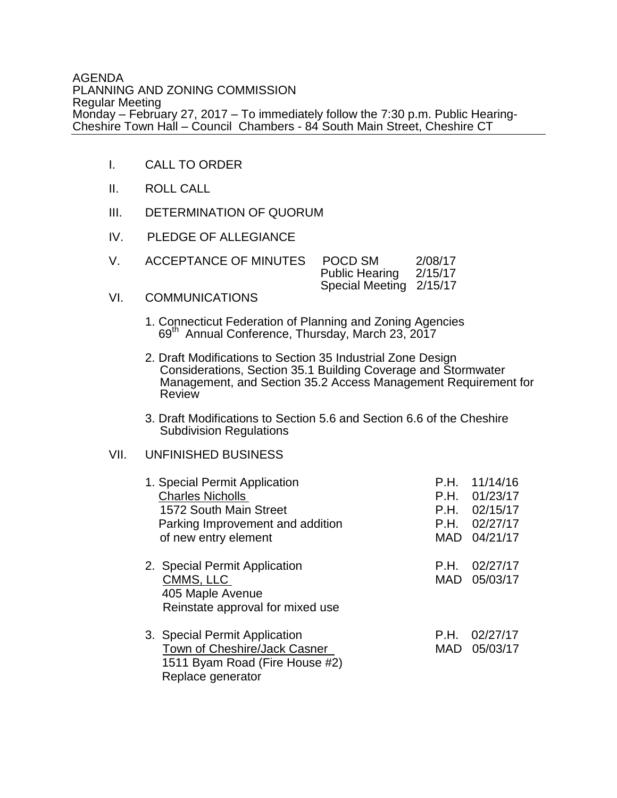AGENDA PLANNING AND ZONING COMMISSION Regular Meeting Monday – February 27, 2017 – To immediately follow the 7:30 p.m. Public Hearing-Cheshire Town Hall – Council Chambers - 84 South Main Street, Cheshire CT

- I. CALL TO ORDER
- II. ROLL CALL
- III. DETERMINATION OF QUORUM
- IV. PLEDGE OF ALLEGIANCE

| V. | ACCEPTANCE OF MINUTES | <b>POCD SM</b>          | 2/08/17 |
|----|-----------------------|-------------------------|---------|
|    |                       | Public Hearing 2/15/17  |         |
|    |                       | Special Meeting 2/15/17 |         |

- VI. COMMUNICATIONS
	- 1. Connecticut Federation of Planning and Zoning Agencies 69th Annual Conference, Thursday, March 23, 2017
	- 2. Draft Modifications to Section 35 Industrial Zone Design Considerations, Section 35.1 Building Coverage and Stormwater Management, and Section 35.2 Access Management Requirement for **Review**
	- 3. Draft Modifications to Section 5.6 and Section 6.6 of the Cheshire Subdivision Regulations

## VII. UNFINISHED BUSINESS

| 1. Special Permit Application<br><b>Charles Nicholls</b><br>1572 South Main Street<br>Parking Improvement and addition<br>of new entry element | P.H.<br>P.H.<br>P.H.<br>P.H.<br><b>MAD</b> | 11/14/16<br>01/23/17<br>02/15/17<br>02/27/17<br>04/21/17 |
|------------------------------------------------------------------------------------------------------------------------------------------------|--------------------------------------------|----------------------------------------------------------|
| 2. Special Permit Application<br>CMMS, LLC<br>405 Maple Avenue<br>Reinstate approval for mixed use                                             | P.H.<br><b>MAD</b>                         | 02/27/17<br>05/03/17                                     |
| 3. Special Permit Application<br>Town of Cheshire/Jack Casner<br>1511 Byam Road (Fire House #2)<br>Replace generator                           | P.H.<br><b>MAD</b>                         | 02/27/17<br>05/03/17                                     |